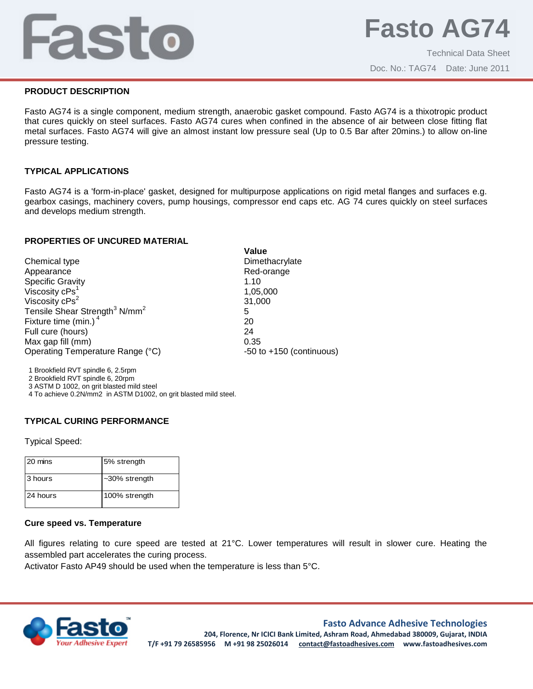# Fasto

## **PRODUCT DESCRIPTION**

Fasto AG74 is a single component, medium strength, anaerobic gasket compound. Fasto AG74 is a thixotropic product that cures quickly on steel surfaces. Fasto AG74 cures when confined in the absence of air between close fitting flat metal surfaces. Fasto AG74 will give an almost instant low pressure seal (Up to 0.5 Bar after 20mins.) to allow on-line pressure testing.

## **TYPICAL APPLICATIONS**

Fasto AG74 is a 'form-in-place' gasket, designed for multipurpose applications on rigid metal flanges and surfaces e.g. gearbox casings, machinery covers, pump housings, compressor end caps etc. AG 74 cures quickly on steel surfaces and develops medium strength.

#### **PROPERTIES OF UNCURED MATERIAL**

|                                                       | Value                        |
|-------------------------------------------------------|------------------------------|
| Chemical type                                         | Dimethacrylate               |
| Appearance                                            | Red-orange                   |
| Specific Gravity                                      | 1.10                         |
| Viscosity $cPs_2^1$                                   | 1,05,000                     |
| Viscosity cPs <sup>2</sup>                            | 31,000                       |
| Tensile Shear Strength <sup>3</sup> N/mm <sup>2</sup> | 5                            |
| Fixture time (min.) <sup>4</sup>                      | 20                           |
| Full cure (hours)                                     | 24                           |
| Max gap fill (mm)                                     | 0.35                         |
| Operating Temperature Range (°C)                      | $-50$ to $+150$ (continuous) |
|                                                       |                              |

1 Brookfield RVT spindle 6, 2.5rpm

2 Brookfield RVT spindle 6, 20rpm

3 ASTM D 1002, on grit blasted mild steel

4 To achieve 0.2N/mm2 in ASTM D1002, on grit blasted mild steel.

# **TYPICAL CURING PERFORMANCE**

Typical Speed:

| 20 mins  | 5% strength      |
|----------|------------------|
| 3 hours  | $-30\%$ strength |
| 24 hours | 100% strength    |

#### **Cure speed vs. Temperature**

All figures relating to cure speed are tested at 21°C. Lower temperatures will result in slower cure. Heating the assembled part accelerates the curing process.

Activator Fasto AP49 should be used when the temperature is less than 5°C.



# **Fasto Advance Adhesive Technologies**

**204, Florence, Nr ICICI Bank Limited, Ashram Road, Ahmedabad 380009, Gujarat, INDIA T/F +91 79 26585956 M +91 98 25026014 contact@fastoadhesives.com www.fastoadhesives.com**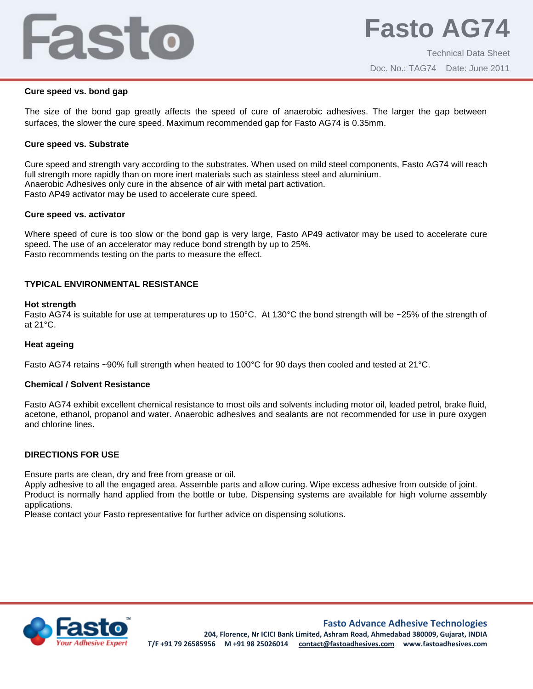# Fasto

#### **Cure speed vs. bond gap**

The size of the bond gap greatly affects the speed of cure of anaerobic adhesives. The larger the gap between surfaces, the slower the cure speed. Maximum recommended gap for Fasto AG74 is 0.35mm.

#### **Cure speed vs. Substrate**

Cure speed and strength vary according to the substrates. When used on mild steel components, Fasto AG74 will reach full strength more rapidly than on more inert materials such as stainless steel and aluminium. Anaerobic Adhesives only cure in the absence of air with metal part activation. Fasto AP49 activator may be used to accelerate cure speed.

#### **Cure speed vs. activator**

Where speed of cure is too slow or the bond gap is very large, Fasto AP49 activator may be used to accelerate cure speed. The use of an accelerator may reduce bond strength by up to 25%. Fasto recommends testing on the parts to measure the effect.

# **TYPICAL ENVIRONMENTAL RESISTANCE**

#### **Hot strength**

Fasto AG74 is suitable for use at temperatures up to 150°C. At 130°C the bond strength will be ~25% of the strength of at 21°C.

#### **Heat ageing**

Fasto AG74 retains ~90% full strength when heated to 100°C for 90 days then cooled and tested at 21°C.

#### **Chemical / Solvent Resistance**

Fasto AG74 exhibit excellent chemical resistance to most oils and solvents including motor oil, leaded petrol, brake fluid, acetone, ethanol, propanol and water. Anaerobic adhesives and sealants are not recommended for use in pure oxygen and chlorine lines.

# **DIRECTIONS FOR USE**

Ensure parts are clean, dry and free from grease or oil.

Apply adhesive to all the engaged area. Assemble parts and allow curing. Wipe excess adhesive from outside of joint. Product is normally hand applied from the bottle or tube. Dispensing systems are available for high volume assembly applications.

Please contact your Fasto representative for further advice on dispensing solutions.



**Fasto Advance Adhesive Technologies**

**204, Florence, Nr ICICI Bank Limited, Ashram Road, Ahmedabad 380009, Gujarat, INDIA T/F +91 79 26585956 M +91 98 25026014 contact@fastoadhesives.com www.fastoadhesives.com**